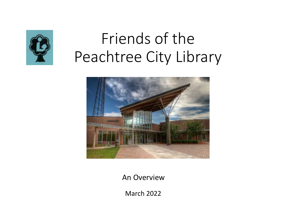

# Friends of the Peachtree City Library



An Overview

March 2022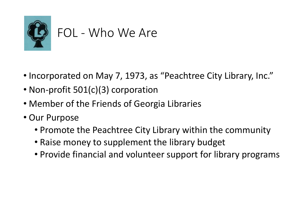

#### FOL - Who We Are

- Incorporated on May 7, 1973, as "Peachtree City Library, Inc."
- Non-profit 501(c)(3) corporation
- Member of the Friends of Georgia Libraries
- Our Purpose
	- Promote the Peachtree City Library within the community
	- Raise money to supplement the library budget
	- Provide financial and volunteer support for library programs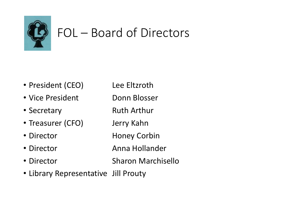

## FOL – Board of Directors

- President (CEO) Lee Eltzroth
- Vice President Donn Blosser
- Secretary **Ruth Arthur**
- Treasurer (CFO) Jerry Kahn
- Director **Honey Corbin**
- Director **Anna Hollander**
- Director Sharon Marchisello
- Library Representative Jill Prouty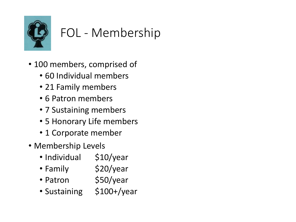

# FOL - Membership

- 100 members, comprised of
	- 60 Individual members
	- 21 Family members
	- 6 Patron members
	- 7 Sustaining members
	- 5 Honorary Life members
	- 1 Corporate member
- Membership Levels
	- Individual \$10/year
	- Family \$20/year
	- Patron \$50/year
	- Sustaining \$100+/year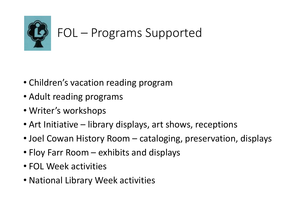

# FOL – Programs Supported

- Children's vacation reading program
- Adult reading programs
- Writer's workshops
- Art Initiative library displays, art shows, receptions
- Joel Cowan History Room cataloging, preservation, displays
- Floy Farr Room exhibits and displays
- FOL Week activities
- National Library Week activities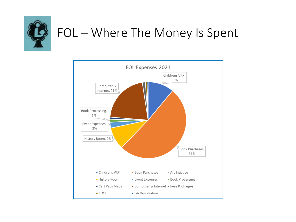

#### FOL - Where The Money Is Spent

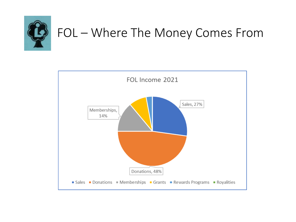

## FOL - Where The Money Comes From

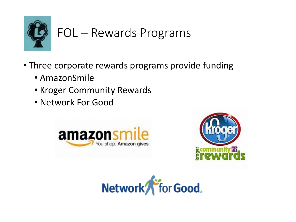

## FOL – Rewards Programs

- Three corporate rewards programs provide funding
	- AmazonSmile
	- Kroger Community Rewards
	- Network For Good





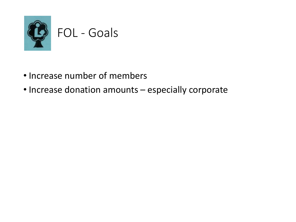

#### FOL - Goals

- Increase number of members
- Increase donation amounts especially corporate